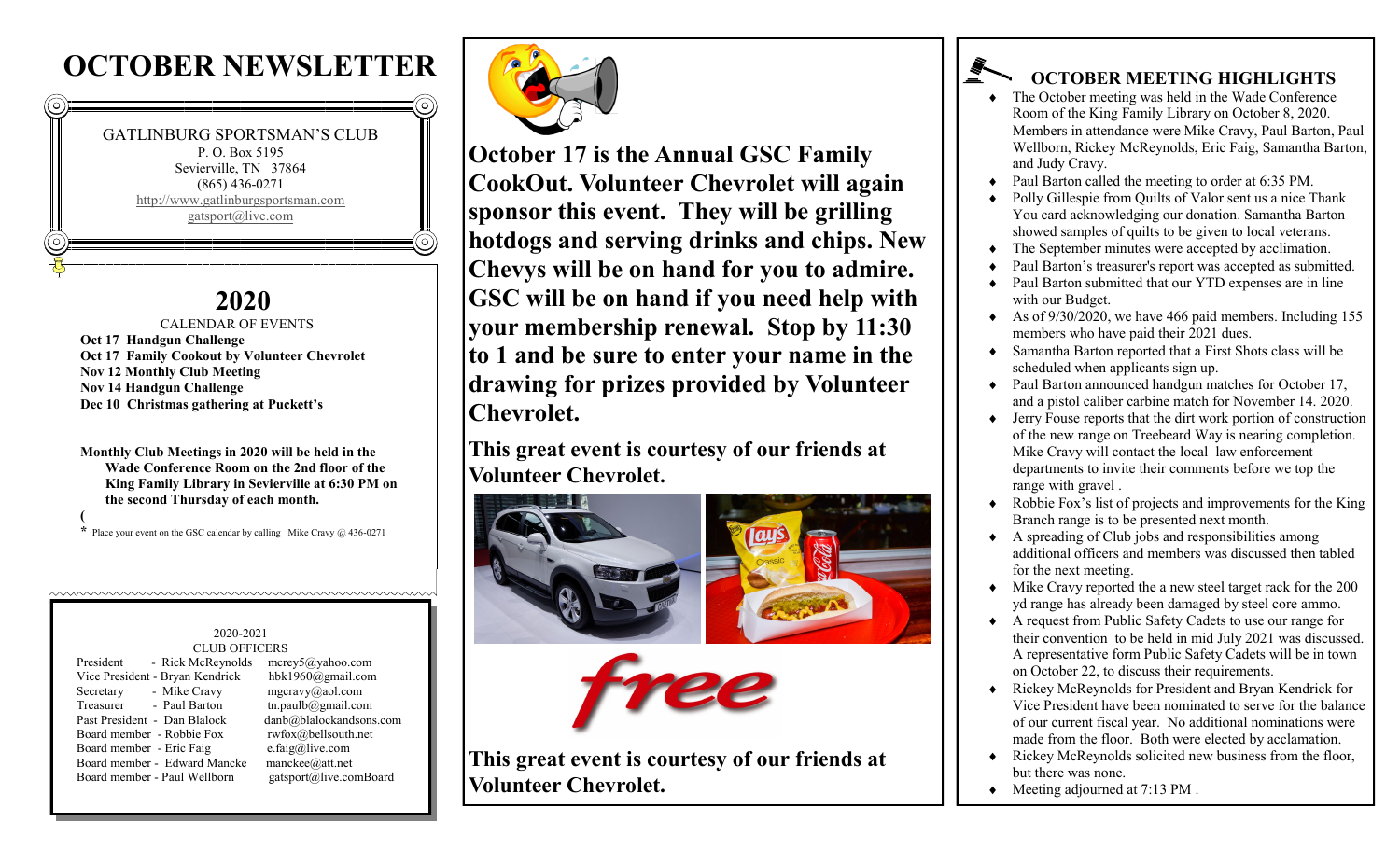# **OCTOBER NEWSLETTER**



## **2020**

 CALENDAR OF EVENTS **Oct 17 Handgun Challenge Oct 17 Family Cookout by Volunteer Chevrolet Nov 12 Monthly Club Meeting Nov 14 Handgun Challenge Dec 10 Christmas gathering at Puckett's** 

**Monthly Club Meetings in 2020 will be held in the Wade Conference Room on the 2nd floor of the King Family Library in Sevierville at 6:30 PM on the second Thursday of each month. (**

**\*** Place your event on the GSC calendar by calling Mike Cravy @ 436-0271

#### 2020-2021 CLUB OFFICERS

hummmmmmmmmmmmmmmmmmmmm

| President<br>- Rick McReynolds  | merge5@yahoo.com        |
|---------------------------------|-------------------------|
| Vice President - Bryan Kendrick | hbk1960@gmail.com       |
| - Mike Cravy<br>Secretary       | $mgcravv(a)$ aol.com    |
| Treasurer<br>- Paul Barton      | tn.paulb@gmail.com      |
| Past President - Dan Blalock    | danb@blalockandsons.com |
| Board member - Robbie Fox       | rwfox@bellsouth.net     |
| Board member - Eric Faig        | e.faig@live.com         |
| Board member - Edward Mancke    | manckee@att.net         |
| Board member - Paul Wellborn    | gatsport@live.comBoard  |
|                                 |                         |



 $\odot$ 

**October 17 is the Annual GSC Family CookOut. Volunteer Chevrolet will again sponsor this event. They will be grilling hotdogs and serving drinks and chips. New Chevys will be on hand for you to admire. GSC will be on hand if you need help with your membership renewal. Stop by 11:30 to 1 and be sure to enter your name in the drawing for prizes provided by Volunteer Chevrolet.**

**This great event is courtesy of our friends at Volunteer Chevrolet.**



**This great event is courtesy of our friends at Volunteer Chevrolet.**

## **OCTOBER MEETING HIGHLIGHTS**

- The October meeting was held in the Wade Conference Room of the King Family Library on October 8, 2020. Members in attendance were Mike Cravy, Paul Barton, Paul Wellborn, Rickey McReynolds, Eric Faig, Samantha Barton, and Judy Cravy.
- Paul Barton called the meeting to order at 6:35 PM.

- Polly Gillespie from Quilts of Valor sent us a nice Thank You card acknowledging our donation. Samantha Barton showed samples of quilts to be given to local veterans.
- The September minutes were accepted by acclimation.
- Paul Barton's treasurer's report was accepted as submitted.
- Paul Barton submitted that our YTD expenses are in line with our Budget.
- As of  $9/30/2020$ , we have 466 paid members. Including 155 members who have paid their 2021 dues.
- Samantha Barton reported that a First Shots class will be scheduled when applicants sign up.
- ◆ Paul Barton announced handgun matches for October 17, and a pistol caliber carbine match for November 14. 2020.
- Jerry Fouse reports that the dirt work portion of construction of the new range on Treebeard Way is nearing completion. Mike Cravy will contact the local law enforcement departments to invite their comments before we top the range with gravel .
- Robbie Fox's list of projects and improvements for the King Branch range is to be presented next month.
- A spreading of Club jobs and responsibilities among additional officers and members was discussed then tabled for the next meeting.
- Mike Cravy reported the a new steel target rack for the 200 yd range has already been damaged by steel core ammo.
- A request from Public Safety Cadets to use our range for their convention to be held in mid July 2021 was discussed. A representative form Public Safety Cadets will be in town on October 22, to discuss their requirements.
- Rickey McReynolds for President and Bryan Kendrick for Vice President have been nominated to serve for the balance of our current fiscal year. No additional nominations were made from the floor. Both were elected by acclamation.
- Rickey McReynolds solicited new business from the floor, but there was none.
- Meeting adjourned at 7:13 PM .